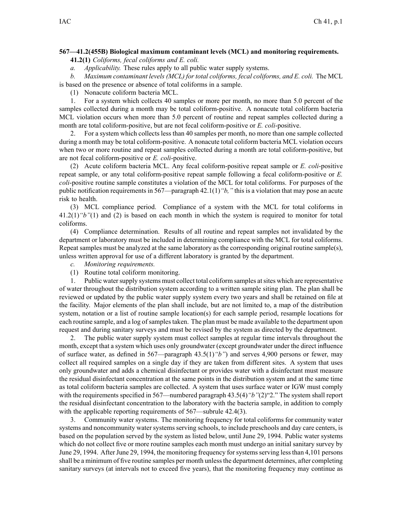## **567—41.2(455B) Biological maximum contaminant levels (MCL) and monitoring requirements.**

**41.2(1)** *Coliforms, fecal coliforms and E. coli.*

*a. Applicability.* These rules apply to all public water supply systems.

*b. Maximum contaminant levels (MCL) for total coliforms, fecal coliforms, and E. coli.* The MCL is based on the presence or absence of total coliforms in <sup>a</sup> sample.

(1) Nonacute coliform bacteria MCL.

1. For <sup>a</sup> system which collects 40 samples or more per month, no more than 5.0 percen<sup>t</sup> of the samples collected during <sup>a</sup> month may be total coliform-positive. A nonacute total coliform bacteria MCL violation occurs when more than 5.0 percen<sup>t</sup> of routine and repea<sup>t</sup> samples collected during <sup>a</sup> month are total coliform-positive, but are not fecal coliform-positive or *E. coli*-positive.

2. For <sup>a</sup> system which collects less than 40 samples per month, no more than one sample collected during <sup>a</sup> month may be total coliform-positive. A nonacute total coliform bacteria MCL violation occurs when two or more routine and repea<sup>t</sup> samples collected during <sup>a</sup> month are total coliform-positive, but are not fecal coliform-positive or *E. coli*-positive.

(2) Acute coliform bacteria MCL. Any fecal coliform-positive repea<sup>t</sup> sample or *E. coli*-positive repea<sup>t</sup> sample, or any total coliform-positive repea<sup>t</sup> sample following <sup>a</sup> fecal coliform-positive or *E. coli*-positive routine sample constitutes <sup>a</sup> violation of the MCL for total coliforms. For purposes of the public notification requirements in 567—paragraph 42.1(1)*"b,"* this is <sup>a</sup> violation that may pose an acute risk to health.

(3) MCL compliance period. Compliance of <sup>a</sup> system with the MCL for total coliforms in 41.2(1)*"b"*(1) and (2) is based on each month in which the system is required to monitor for total coliforms.

(4) Compliance determination. Results of all routine and repea<sup>t</sup> samples not invalidated by the department or laboratory must be included in determining compliance with the MCL for total coliforms. Repeat samples must be analyzed at the same laboratory as the corresponding original routine sample(s), unless written approval for use of <sup>a</sup> different laboratory is granted by the department.

*c. Monitoring requirements.*

(1) Routine total coliform monitoring.

1. Public watersupply systems must collect total coliform samples atsites which are representative of water throughout the distribution system according to <sup>a</sup> written sample siting plan. The plan shall be reviewed or updated by the public water supply system every two years and shall be retained on file at the facility. Major elements of the plan shall include, but are not limited to, <sup>a</sup> map of the distribution system, notation or <sup>a</sup> list of routine sample location(s) for each sample period, resample locations for each routine sample, and a log of samples taken. The plan must be made available to the department upon reques<sup>t</sup> and during sanitary surveys and must be revised by the system as directed by the department.

2. The public water supply system must collect samples at regular time intervals throughout the month, excep<sup>t</sup> that <sup>a</sup> system which uses only groundwater (except groundwater under the direct influence of surface water, as defined in 567—paragraph 43.5(1)*"b"*) and serves 4,900 persons or fewer, may collect all required samples on <sup>a</sup> single day if they are taken from different sites. A system that uses only groundwater and adds <sup>a</sup> chemical disinfectant or provides water with <sup>a</sup> disinfectant must measure the residual disinfectant concentration at the same points in the distribution system and at the same time as total coliform bacteria samples are collected. A system that uses surface water or IGW must comply with the requirements specified in 567—numbered paragraph 43.5(4)*"b"*(2)"2." The system shall report the residual disinfectant concentration to the laboratory with the bacteria sample, in addition to comply with the applicable reporting requirements of 567—subrule 42.4(3).

3. Community water systems. The monitoring frequency for total coliforms for community water systems and noncommunity water systems serving schools, to include preschools and day care centers, is based on the population served by the system as listed below, until June 29, 1994. Public water systems which do not collect five or more routine samples each month must undergo an initial sanitary survey by June 29, 1994. After June 29, 1994, the monitoring frequency for systems serving less than 4,101 persons shall be a minimum of five routine samples per month unless the department determines, after completing sanitary surveys (at intervals not to exceed five years), that the monitoring frequency may continue as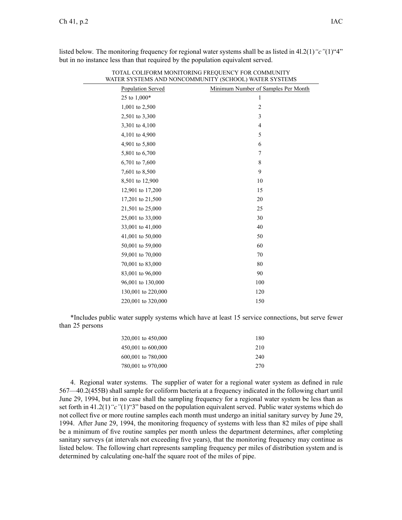| Population Served  | Minimum Number of Samples Per Month |
|--------------------|-------------------------------------|
| 25 to 1,000*       | 1                                   |
| 1,001 to 2,500     | $\overline{c}$                      |
| 2,501 to 3,300     | 3                                   |
| 3,301 to 4,100     | $\overline{4}$                      |
| 4,101 to 4,900     | 5                                   |
| 4,901 to 5,800     | 6                                   |
| 5,801 to 6,700     | 7                                   |
| 6,701 to 7,600     | 8                                   |
| 7,601 to 8,500     | 9                                   |
| 8,501 to 12,900    | 10                                  |
| 12,901 to 17,200   | 15                                  |
| 17,201 to 21,500   | 20                                  |
| 21,501 to 25,000   | 25                                  |
| 25,001 to 33,000   | 30                                  |
| 33,001 to 41,000   | 40                                  |
| 41,001 to 50,000   | 50                                  |
| 50,001 to 59,000   | 60                                  |
| 59,001 to 70,000   | 70                                  |
| 70,001 to 83,000   | 80                                  |
| 83,001 to 96,000   | 90                                  |
| 96,001 to 130,000  | 100                                 |
| 130,001 to 220,000 | 120                                 |
| 220,001 to 320,000 | 150                                 |

listed below. The monitoring frequency for regional water systems shall be as listed in 4l.2(1)*"c"*(1)"4" but in no instance less than that required by the population equivalent served.

TOTAL COLIFORM MONITORING FREQUENCY FOR COMMUNITY

\*Includes public water supply systems which have at least 15 service connections, but serve fewer than 25 persons

| 320,001 to 450,000 | 180 |
|--------------------|-----|
| 450,001 to 600,000 | 210 |
| 600,001 to 780,000 | 240 |
| 780,001 to 970,000 | 270 |

4. Regional water systems. The supplier of water for <sup>a</sup> regional water system as defined in rule 567—40.2(455B) shall sample for coliform bacteria at <sup>a</sup> frequency indicated in the following chart until June 29, 1994, but in no case shall the sampling frequency for <sup>a</sup> regional water system be less than as set forth in 41.2(1)*"c"*(1)"3" based on the population equivalent served. Public water systems which do not collect five or more routine samples each month must undergo an initial sanitary survey by June 29, 1994. After June 29, 1994, the monitoring frequency of systems with less than 82 miles of pipe shall be <sup>a</sup> minimum of five routine samples per month unless the department determines, after completing sanitary surveys (at intervals not exceeding five years), that the monitoring frequency may continue as listed below. The following chart represents sampling frequency per miles of distribution system and is determined by calculating one-half the square root of the miles of pipe.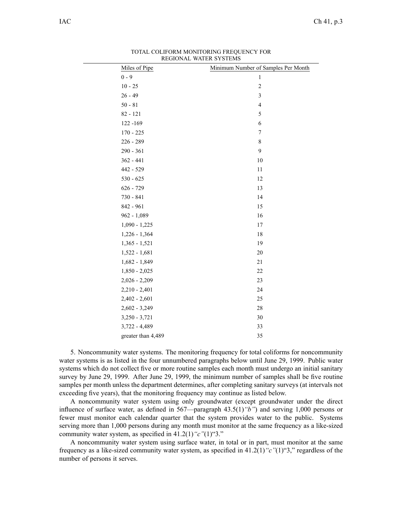| Residente mittendroibho |                                     |
|-------------------------|-------------------------------------|
| Miles of Pipe           | Minimum Number of Samples Per Month |
| $0 - 9$                 | $\mathbf{1}$                        |
| $10 - 25$               | $\overline{c}$                      |
| $26 - 49$               | 3                                   |
| $50 - 81$               | $\overline{4}$                      |
| $82 - 121$              | 5                                   |
| 122 -169                | $\epsilon$                          |
| $170 - 225$             | 7                                   |
| $226 - 289$             | 8                                   |
| 290 - 361               | 9                                   |
| $362 - 441$             | 10                                  |
| 442 - 529               | 11                                  |
| $530 - 625$             | 12                                  |
| $626 - 729$             | 13                                  |
| 730 - 841               | 14                                  |
| 842 - 961               | 15                                  |
| 962 - 1,089             | 16                                  |
| $1,090 - 1,225$         | 17                                  |
| $1,226 - 1,364$         | 18                                  |
| $1,365 - 1,521$         | 19                                  |
| $1,522 - 1,681$         | 20                                  |
| $1,682 - 1,849$         | 21                                  |
| $1,850 - 2,025$         | 22                                  |
| $2,026 - 2,209$         | 23                                  |
| $2,210 - 2,401$         | 24                                  |
| $2,402 - 2,601$         | 25                                  |
| $2,602 - 3,249$         | 28                                  |
| $3,250 - 3,721$         | 30                                  |
| $3,722 - 4,489$         | 33                                  |
| greater than 4,489      | 35                                  |
|                         |                                     |

TOTAL COLIFORM MONITORING FREQUENCY FOR REGIONAL WATER SYSTEMS

5. Noncommunity water systems. The monitoring frequency for total coliforms for noncommunity water systems is as listed in the four unnumbered paragraphs below until June 29, 1999. Public water systems which do not collect five or more routine samples each month must undergo an initial sanitary survey by June 29, 1999. After June 29, 1999, the minimum number of samples shall be five routine samples per month unless the department determines, after completing sanitary surveys (at intervals not exceeding five years), that the monitoring frequency may continue as listed below.

A noncommunity water system using only groundwater (except groundwater under the direct influence of surface water, as defined in 567—paragraph 43.5(1)*"b"*) and serving 1,000 persons or fewer must monitor each calendar quarter that the system provides water to the public. Systems serving more than 1,000 persons during any month must monitor at the same frequency as <sup>a</sup> like-sized community water system, as specified in 41.2(1)*"c"*(1)"3."

A noncommunity water system using surface water, in total or in part, must monitor at the same frequency as <sup>a</sup> like-sized community water system, as specified in 41.2(1)*"c"*(1)"3," regardless of the number of persons it serves.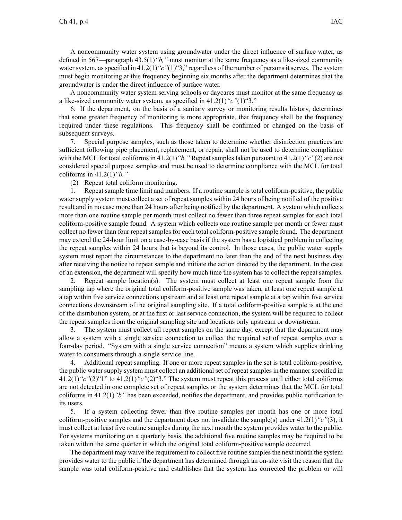A noncommunity water system using groundwater under the direct influence of surface water, as defined in 567—paragraph 43.5(1)*"b,"* must monitor at the same frequency as <sup>a</sup> like-sized community water system, as specified in 41.2(1) "c"(1)"3," regardless of the number of persons it serves. The system must begin monitoring at this frequency beginning six months after the department determines that the groundwater is under the direct influence of surface water.

A noncommunity water system serving schools or daycares must monitor at the same frequency as <sup>a</sup> like-sized community water system, as specified in 41.2(1)*"c"*(1)"3."

6. If the department, on the basis of <sup>a</sup> sanitary survey or monitoring results history, determines that some greater frequency of monitoring is more appropriate, that frequency shall be the frequency required under these regulations. This frequency shall be confirmed or changed on the basis of subsequent surveys.

7. Special purpose samples, such as those taken to determine whether disinfection practices are sufficient following pipe placement, replacement, or repair, shall not be used to determine compliance with the MCL for total coliforms in 41.2(1)*"b."* Repeat samples taken pursuan<sup>t</sup> to 41.2(1)*"c"*(2) are not considered special purpose samples and must be used to determine compliance with the MCL for total coliforms in 41.2(1)*"b."*

(2) Repeat total coliform monitoring.

1. Repeat sample time limit and numbers. If <sup>a</sup> routine sample is total coliform-positive, the public water supply system must collect <sup>a</sup> set of repea<sup>t</sup> samples within 24 hours of being notified of the positive result and in no case more than 24 hours after being notified by the department. A system which collects more than one routine sample per month must collect no fewer than three repea<sup>t</sup> samples for each total coliform-positive sample found. A system which collects one routine sample per month or fewer must collect no fewer than four repea<sup>t</sup> samples for each total coliform-positive sample found. The department may extend the 24-hour limit on <sup>a</sup> case-by-case basis if the system has <sup>a</sup> logistical problem in collecting the repea<sup>t</sup> samples within 24 hours that is beyond its control. In those cases, the public water supply system must repor<sup>t</sup> the circumstances to the department no later than the end of the next business day after receiving the notice to repea<sup>t</sup> sample and initiate the action directed by the department. In the case of an extension, the department will specify how much time the system has to collect the repea<sup>t</sup> samples.

2. Repeat sample location(s). The system must collect at least one repea<sup>t</sup> sample from the sampling tap where the original total coliform-positive sample was taken, at least one repea<sup>t</sup> sample at <sup>a</sup> tap within five service connections upstream and at least one repea<sup>t</sup> sample at <sup>a</sup> tap within five service connections downstream of the original sampling site. If <sup>a</sup> total coliform-positive sample is at the end of the distribution system, or at the first or last service connection, the system will be required to collect the repea<sup>t</sup> samples from the original sampling site and locations only upstream or downstream.

3. The system must collect all repea<sup>t</sup> samples on the same day, excep<sup>t</sup> that the department may allow <sup>a</sup> system with <sup>a</sup> single service connection to collect the required set of repea<sup>t</sup> samples over <sup>a</sup> four-day period. "System with <sup>a</sup> single service connection" means <sup>a</sup> system which supplies drinking water to consumers through <sup>a</sup> single service line.

4. Additional repea<sup>t</sup> sampling. If one or more repea<sup>t</sup> samples in the set is total coliform-positive, the public water supply system must collect an additional set of repea<sup>t</sup> samples in the manner specified in 41.2(1)*"c"*(2)"1" to 41.2(1)*"c"*(2)"3." The system must repea<sup>t</sup> this process until either total coliforms are not detected in one complete set of repea<sup>t</sup> samples or the system determines that the MCL for total coliforms in 41.2(1)*"b"* has been exceeded, notifies the department, and provides public notification to its users.

5. If <sup>a</sup> system collecting fewer than five routine samples per month has one or more total coliform-positive samples and the department does not invalidate the sample(s) under 41.2(1)*"c"*(3), it must collect at least five routine samples during the next month the system provides water to the public. For systems monitoring on <sup>a</sup> quarterly basis, the additional five routine samples may be required to be taken within the same quarter in which the original total coliform-positive sample occurred.

The department may waive the requirement to collect five routine samples the next month the system provides water to the public if the department has determined through an on-site visit the reason that the sample was total coliform-positive and establishes that the system has corrected the problem or will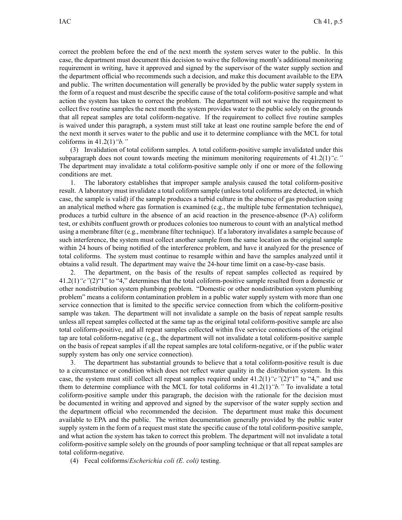correct the problem before the end of the next month the system serves water to the public. In this case, the department must document this decision to waive the following month's additional monitoring requirement in writing, have it approved and signed by the supervisor of the water supply section and the department official who recommends such <sup>a</sup> decision, and make this document available to the EPA and public. The written documentation will generally be provided by the public water supply system in the form of <sup>a</sup> reques<sup>t</sup> and must describe the specific cause of the total coliform-positive sample and what action the system has taken to correct the problem. The department will not waive the requirement to collect five routine samples the next month the system provides water to the public solely on the grounds that all repea<sup>t</sup> samples are total coliform-negative. If the requirement to collect five routine samples is waived under this paragraph, <sup>a</sup> system must still take at least one routine sample before the end of the next month it serves water to the public and use it to determine compliance with the MCL for total coliforms in 41.2(1)*"b."*

(3) Invalidation of total coliform samples. A total coliform-positive sample invalidated under this subparagraph does not count towards meeting the minimum monitoring requirements of 41.2(1)*"c."* The department may invalidate <sup>a</sup> total coliform-positive sample only if one or more of the following conditions are met.

1. The laboratory establishes that improper sample analysis caused the total coliform-positive result. A laboratory must invalidate <sup>a</sup> total coliform sample (unless total coliforms are detected, in which case, the sample is valid) if the sample produces <sup>a</sup> turbid culture in the absence of gas production using an analytical method where gas formation is examined (e.g., the multiple tube fermentation technique), produces <sup>a</sup> turbid culture in the absence of an acid reaction in the presence-absence (P-A) coliform test, or exhibits confluent growth or produces colonies too numerous to count with an analytical method using <sup>a</sup> membrane filter (e.g., membrane filter technique). If <sup>a</sup> laboratory invalidates <sup>a</sup> sample because of such interference, the system must collect another sample from the same location as the original sample within 24 hours of being notified of the interference problem, and have it analyzed for the presence of total coliforms. The system must continue to resample within and have the samples analyzed until it obtains <sup>a</sup> valid result. The department may waive the 24-hour time limit on <sup>a</sup> case-by-case basis.

2. The department, on the basis of the results of repea<sup>t</sup> samples collected as required by 41.2(1)*"c"*(2)"1" to "4," determines that the total coliform-positive sample resulted from <sup>a</sup> domestic or other nondistribution system plumbing problem. "Domestic or other nondistribution system plumbing problem" means <sup>a</sup> coliform contamination problem in <sup>a</sup> public water supply system with more than one service connection that is limited to the specific service connection from which the coliform-positive sample was taken. The department will not invalidate <sup>a</sup> sample on the basis of repea<sup>t</sup> sample results unless all repea<sup>t</sup> samples collected at the same tap as the original total coliform-positive sample are also total coliform-positive, and all repea<sup>t</sup> samples collected within five service connections of the original tap are total coliform-negative (e.g., the department will not invalidate <sup>a</sup> total coliform-positive sample on the basis of repea<sup>t</sup> samples if all the repea<sup>t</sup> samples are total coliform-negative, or if the public water supply system has only one service connection).

3. The department has substantial grounds to believe that <sup>a</sup> total coliform-positive result is due to <sup>a</sup> circumstance or condition which does not reflect water quality in the distribution system. In this case, the system must still collect all repea<sup>t</sup> samples required under 41.2(1)*"c"*(2)"1" to "4," and use them to determine compliance with the MCL for total coliforms in 41.2(1)*"b."* To invalidate <sup>a</sup> total coliform-positive sample under this paragraph, the decision with the rationale for the decision must be documented in writing and approved and signed by the supervisor of the water supply section and the department official who recommended the decision. The department must make this document available to EPA and the public. The written documentation generally provided by the public water supply system in the form of <sup>a</sup> reques<sup>t</sup> must state the specific cause of the total coliform-positive sample, and what action the system has taken to correct this problem. The department will not invalidate <sup>a</sup> total coliform-positive sample solely on the grounds of poor sampling technique or that all repea<sup>t</sup> samples are total coliform-negative.

(4) Fecal coliforms/*Escherichia coli (E. coli)* testing.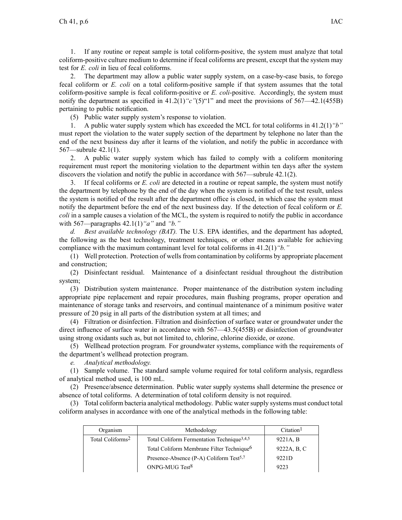1. If any routine or repea<sup>t</sup> sample is total coliform-positive, the system must analyze that total coliform-positive culture medium to determine if fecal coliforms are present, excep<sup>t</sup> that the system may test for *E. coli* in lieu of fecal coliforms.

2. The department may allow <sup>a</sup> public water supply system, on <sup>a</sup> case-by-case basis, to forego fecal coliform or *E. coli* on <sup>a</sup> total coliform-positive sample if that system assumes that the total coliform-positive sample is fecal coliform-positive or *E. coli*-positive. Accordingly, the system must notify the department as specified in 41.2(1)*"c"*(5)"1" and meet the provisions of 567—42.1(455B) pertaining to public notification.

(5) Public water supply system's response to violation.

1. A public water supply system which has exceeded the MCL for total coliforms in 41.2(1)*"b"* must repor<sup>t</sup> the violation to the water supply section of the department by telephone no later than the end of the next business day after it learns of the violation, and notify the public in accordance with 567—subrule 42.1(1).

2. A public water supply system which has failed to comply with <sup>a</sup> coliform monitoring requirement must repor<sup>t</sup> the monitoring violation to the department within ten days after the system discovers the violation and notify the public in accordance with 567—subrule 42.1(2).

3. If fecal coliforms or *E. coli* are detected in <sup>a</sup> routine or repea<sup>t</sup> sample, the system must notify the department by telephone by the end of the day when the system is notified of the test result, unless the system is notified of the result after the department office is closed, in which case the system must notify the department before the end of the next business day. If the detection of fecal coliform or *E. coli* in <sup>a</sup> sample causes <sup>a</sup> violation of the MCL, the system is required to notify the public in accordance with 567—paragraphs 42.1(1)*"a"* and *"b."*

*d. Best available technology (BAT).* The U.S. EPA identifies, and the department has adopted, the following as the best technology, treatment techniques, or other means available for achieving compliance with the maximum contaminant level for total coliforms in 41.2(1)*"b."*

(1) Well protection. Protection of wellsfrom contamination by coliforms by appropriate placement and construction;

(2) Disinfectant residual. Maintenance of <sup>a</sup> disinfectant residual throughout the distribution system;

(3) Distribution system maintenance. Proper maintenance of the distribution system including appropriate pipe replacement and repair procedures, main flushing programs, proper operation and maintenance of storage tanks and reservoirs, and continual maintenance of <sup>a</sup> minimum positive water pressure of 20 psig in all parts of the distribution system at all times; and

(4) Filtration or disinfection. Filtration and disinfection of surface water or groundwater under the direct influence of surface water in accordance with 567—43.5(455B) or disinfection of groundwater using strong oxidants such as, but not limited to, chlorine, chlorine dioxide, or ozone.

(5) Wellhead protection program. For groundwater systems, compliance with the requirements of the department's wellhead protection program.

*e. Analytical methodology.*

(1) Sample volume. The standard sample volume required for total coliform analysis, regardless of analytical method used, is 100 mL.

(2) Presence/absence determination. Public water supply systems shall determine the presence or absence of total coliforms. A determination of total coliform density is not required.

(3) Total coliform bacteria analytical methodology. Public watersupply systems must conduct total coliform analyses in accordance with one of the analytical methods in the following table:

| Organism                     | Methodology                                            | Citation <sup>1</sup> |
|------------------------------|--------------------------------------------------------|-----------------------|
| Total Coliforms <sup>2</sup> | Total Coliform Fermentation Technique <sup>3,4,5</sup> | 9221A, B              |
|                              | Total Coliform Membrane Filter Technique <sup>6</sup>  | 9222A, B, C           |
|                              | Presence-Absence (P-A) Coliform Test <sup>5,7</sup>    | 9221D                 |
|                              | ONPG-MUG Test <sup>8</sup>                             | 9223                  |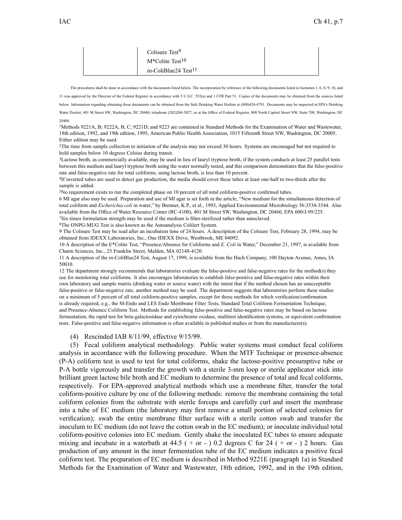| Colisure Test <sup>9</sup>      |  |
|---------------------------------|--|
| $M^*$ Colite Test <sup>10</sup> |  |
| m-ColiBlue24 Test <sup>11</sup> |  |

The procedures shall be done in accordance with the documents listed below. The incorporation by reference of the following documents listed in footnotes 1, 6, 8, 9, 10, and 11 was approved by the Director of the Federal Register in accordance with 5 U.S.C. 552(a) and 1 CFR Part 51. Copies of the documents may be obtained from the sources listed below. Information regarding obtaining these documents can be obtained from the Safe Drinking Water Hotline at (800)426-4791. Documents may be inspected at EPA's Drinking Water Docket, 401 M Street SW, Washington, DC 20460, telephone (202)260-3027; or at the Office of Federal Register, 800 North Capitol Street NW, Suite 700, Washington, DC 20408.

<sup>1</sup>Methods 9221A, B; 9222A, B, C; 9221D; and 9223 are contained in Standard Methods for the Examination of Water and Wastewater, 18th edition, 1992, and 19th edition, 1995, American Public Health Association, 1015 Fifteenth Street NW, Washington, DC 20005. Either edition may be used.

<sup>2</sup>The time from sample collection to initiation of the analysis may not exceed 30 hours. Systems are encouraged but not required to hold samples below 10 degrees Celsius during transit.

<sup>3</sup>Lactose broth, as commercially available, may be used in lieu of lauryl tryptose broth, if the system conducts at least 25 parallel tests between this medium and lauryl tryptose broth using the water normally tested, and this comparison demonstrates that the false-positive rate and false-negative rate for total coliforms, using lactose broth, is less than 10 percent.

4 If inverted tubes are used to detect gas production, the media should cover these tubes at least one-half to two-thirds after the sample is added.

<sup>5</sup>No requirement exists to run the completed phase on 10 percen<sup>t</sup> of all total coliform-positive confirmed tubes.

6 MI agar also may be used. Preparation and use of MI agar is set forth in the article, "New medium for the simultaneous detection of total coliform and *Escherichia coli* in water," by Brenner, K.P., et al., 1993, Applied Environmental Microbiology 56:3534-3544. Also available from the Office of Water Resource Center (RC-4100), 401 M Street SW, Washington, DC 20460, EPA 600/J-99/225.

<sup>7</sup>Six-times formulation strength may be used if the medium is filter-sterilized rather than autoclaved.

<sup>8</sup>The ONPG-MUG Test is also known as the Autoanalysis Colilert System.

9 The Colisure Test may be read after an incubation time of 24 hours. A description of the Colisure Test, February 28, 1994, may be obtained from IDEXX Laboratories, Inc., One IDEXX Drive, Westbrook, ME 04092.

10 A description of the E\*Colite Test, "Presence/Absence for Coliforms and *E. Coli* in Water," December 21, 1997, is available from Charm Sciences, Inc., 25 Franklin Street, Malden, MA 02148-4120.

11 A description of the m-ColiBlue24 Test, August 17, 1999, is available from the Hach Company, 100 Dayton Avenue, Ames, IA 50010.

12 The department strongly recommends that laboratories evaluate the false-positive and false-negative rates for the method(s) they use for monitoring total coliforms. It also encourages laboratories to establish false-positive and false-negative rates within their own laboratory and sample matrix (drinking water or source water) with the intent that if the method chosen has an unacceptable false-positive or false-negative rate, another method may be used. The department suggests that laboratories perform these studies on <sup>a</sup> minimum of 5 percen<sup>t</sup> of all total coliform-positive samples, excep<sup>t</sup> for those methods for which verification/confirmation is already required, e.g., the M-Endo and LES Endo Membrane Filter Tests, Standard Total Coliform Fermentation Technique, and Presence-Absence Coliform Test. Methods for establishing false-positive and false-negative rates may be based on lactose fermentation, the rapid test for beta-galactosidase and cytochrome oxidase, multitest identification systems, or equivalent confirmation tests. False-positive and false-negative information is often available in published studies or from the manufacturer(s).

## (4) Rescinded IAB 8/11/99, effective 9/15/99.

(5) Fecal coliform analytical methodology. Public water systems must conduct fecal coliform analysis in accordance with the following procedure. When the MTF Technique or presence-absence (P-A) coliform test is used to test for total coliforms, shake the lactose-positive presumptive tube or P-A bottle vigorously and transfer the growth with <sup>a</sup> sterile 3-mm loop or sterile applicator stick into brilliant green lactose bile broth and EC medium to determine the presence of total and fecal coliforms, respectively. For EPA-approved analytical methods which use <sup>a</sup> membrane filter, transfer the total coliform-positive culture by one of the following methods: remove the membrane containing the total coliform colonies from the substrate with sterile forceps and carefully curl and insert the membrane into <sup>a</sup> tube of EC medium (the laboratory may first remove <sup>a</sup> small portion of selected colonies for verification); swab the entire membrane filter surface with <sup>a</sup> sterile cotton swab and transfer the inoculum to EC medium (do not leave the cotton swab in the EC medium); or inoculate individual total coliform-positive colonies into EC medium. Gently shake the inoculated EC tubes to ensure adequate mixing and incubate in a waterbath at 44.5 ( $+$  or - ) 0.2 degrees C for 24 ( $+$  or - ) 2 hours. Gas production of any amount in the inner fermentation tube of the EC medium indicates <sup>a</sup> positive fecal coliform test. The preparation of EC medium is described in Method 9221E (paragraph 1a) in Standard Methods for the Examination of Water and Wastewater, 18th edition, 1992, and in the 19th edition,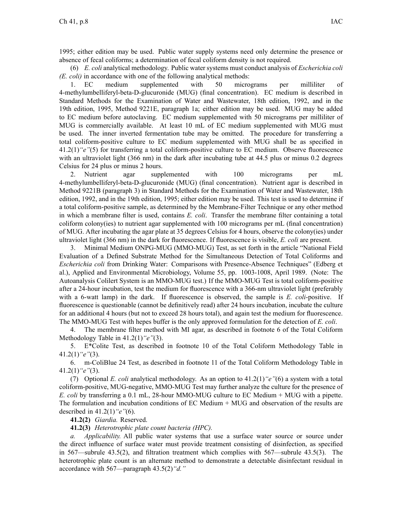1995; either edition may be used. Public water supply systems need only determine the presence or absence of fecal coliforms; <sup>a</sup> determination of fecal coliform density is not required.

(6) *E. coli* analytical methodology. Public water systems must conduct analysis of *Escherichia coli (E. coli)* in accordance with one of the following analytical methods:

1. EC medium supplemented with 50 micrograms per milliliter of 4-methylumbelliferyl-beta-D-glucuronide (MUG) (final concentration). EC medium is described in Standard Methods for the Examination of Water and Wastewater, 18th edition, 1992, and in the 19th edition, 1995, Method 9221E, paragraph 1a; either edition may be used. MUG may be added to EC medium before autoclaving. EC medium supplemented with 50 micrograms per milliliter of MUG is commercially available. At least 10 mL of EC medium supplemented with MUG must be used. The inner inverted fermentation tube may be omitted. The procedure for transferring <sup>a</sup> total coliform-positive culture to EC medium supplemented with MUG shall be as specified in 41.2(1)*"e"*(5) for transferring <sup>a</sup> total coliform-positive culture to EC medium. Observe fluorescence with an ultraviolet light (366 nm) in the dark after incubating tube at 44.5 plus or minus 0.2 degrees Celsius for 24 plus or minus 2 hours.

2. Nutrient agar supplemented with 100 micrograms per mL 4-methylumbelliferyl-beta-D-glucuronide (MUG) (final concentration). Nutrient agar is described in Method 9221B (paragraph 3) in Standard Methods for the Examination of Water and Wastewater, 18th edition, 1992, and in the 19th edition, 1995; either edition may be used. This test is used to determine if <sup>a</sup> total coliform-positive sample, as determined by the Membrane-Filter Technique or any other method in which <sup>a</sup> membrane filter is used, contains *E. coli*. Transfer the membrane filter containing <sup>a</sup> total coliform colony(ies) to nutrient agar supplemented with 100 micrograms per mL (final concentration) of MUG. After incubating the agar plate at 35 degrees Celsius for 4 hours, observe the colony(ies) under ultraviolet light (366 nm) in the dark for fluorescence. If fluorescence is visible, *E. coli* are present.

3. Minimal Medium ONPG-MUG (MMO-MUG) Test, as set forth in the article "National Field Evaluation of <sup>a</sup> Defined Substrate Method for the Simultaneous Detection of Total Coliforms and *Escherichia coli* from Drinking Water: Comparisons with Presence-Absence Techniques" (Edberg et al.), Applied and Environmental Microbiology, Volume 55, pp. 1003-1008, April 1989. (Note: The Autoanalysis Colilert System is an MMO-MUG test.) If the MMO-MUG Test is total coliform-positive after <sup>a</sup> 24-hour incubation, test the medium for fluorescence with <sup>a</sup> 366-nm ultraviolet light (preferably with a 6-watt lamp) in the dark. If fluorescence is observed, the sample is *E. coli-positive.* If fluorescence is questionable (cannot be definitively read) after 24 hours incubation, incubate the culture for an additional 4 hours (but not to exceed 28 hours total), and again test the medium for fluorescence. The MMO-MUG Test with hepes buffer is the only approved formulation for the detection of *E. coli*.

4. The membrane filter method with MI agar, as described in footnote 6 of the Total Coliform Methodology Table in 41.2(1)*"e"*(3).

5. E\*Colite Test, as described in footnote 10 of the Total Coliform Methodology Table in 41.2(1)*"e"*(3).

6. m-ColiBlue 24 Test, as described in footnote 11 of the Total Coliform Methodology Table in 41.2(1)*"e"*(3).

(7) Optional *E. coli* analytical methodology. As an option to 41.2(1)*"e"*(6) <sup>a</sup> system with <sup>a</sup> total coliform-positive, MUG-negative, MMO-MUG Test may further analyze the culture for the presence of *E. coli* by transferring <sup>a</sup> 0.1 mL, 28-hour MMO-MUG culture to EC Medium <sup>+</sup> MUG with <sup>a</sup> pipette. The formulation and incubation conditions of EC Medium + MUG and observation of the results are described in 41.2(1)*"e"*(6).

**41.2(2)** *Giardia.* Reserved.

**41.2(3)** *Heterotrophic plate count bacteria (HPC).*

*a. Applicability.* All public water systems that use <sup>a</sup> surface water source or source under the direct influence of surface water must provide treatment consisting of disinfection, as specified in 567—subrule 43.5(2), and filtration treatment which complies with 567—subrule 43.5(3). The heterotrophic plate count is an alternate method to demonstrate <sup>a</sup> detectable disinfectant residual in accordance with 567—paragraph 43.5(2)*"d."*